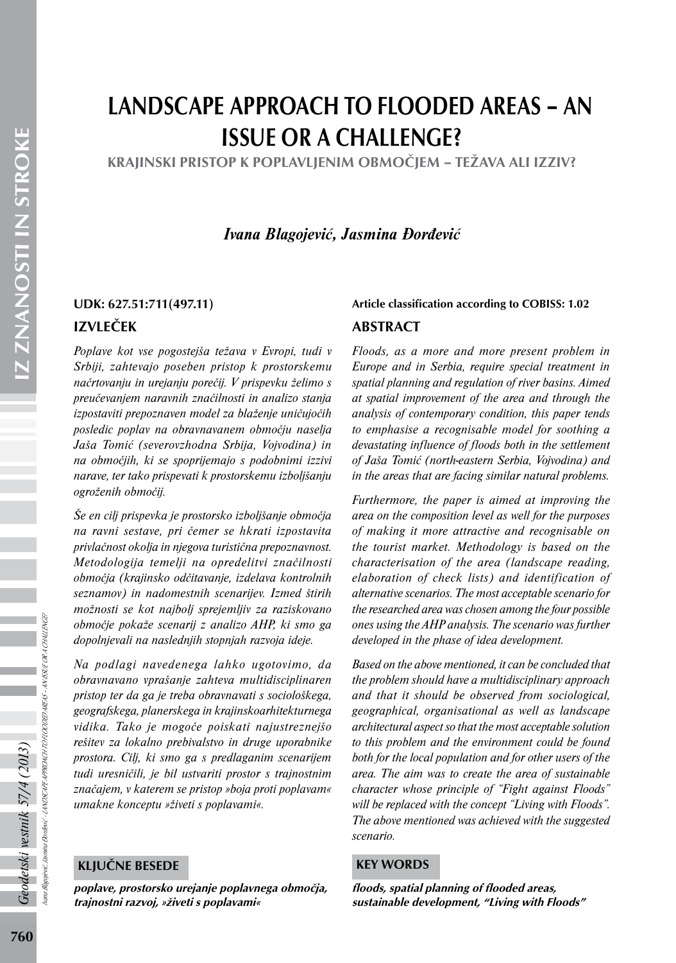# LANDSCAPE APPROACH TO FLOODED AREAS – AN ISSUE OR A CHALLENGE?

KRAJINSKI PRISTOP K POPLAVLJENIM OBMOČJEM – TEŽAVA ALI IZZIV?

*Ivana Blagojević, Jasmina Đorđević*

# IZVLEČEK

*Poplave kot vse pogostejša težava v Evropi, tudi v Srbiji, zahtevajo poseben pristop k prostorskemu načrtovanju in urejanju porečij. V prispevku želimo s preučevanjem naravnih značilnosti in analizo stanja izpostaviti prepoznaven model za blaženje uničujočih posledic poplav na obravnavanem območju naselja Jaša Tomić (severovzhodna Srbija, Vojvodina) in na območjih, ki se spoprijemajo s podobnimi izzivi narave, ter tako prispevati k prostorskemu izboljšanju ogroženih območij.*

*Še en cilj prispevka je prostorsko izboljšanje območja na ravni sestave, pri čemer se hkrati izpostavita privlačnost okolja in njegova turistična prepoznavnost. Metodologija temelji na opredelitvi značilnosti območja (krajinsko odčitavanje, izdelava kontrolnih seznamov) in nadomestnih scenarijev. Izmed štirih možnosti se kot najbolj sprejemljiv za raziskovano območje pokaže scenarij z analizo AHP, ki smo ga dopolnjevali na naslednjih stopnjah razvoja ideje.*

*Na podlagi navedenega lahko ugotovimo, da obravnavano vprašanje zahteva multidisciplinaren pristop ter da ga je treba obravnavati s sociološkega, geografskega, planerskega in krajinskoarhitekturnega vidika. Tako je mogoče poiskati najustreznejšo rešitev za lokalno prebivalstvo in druge uporabnike prostora. Cilj, ki smo ga s predlaganim scenarijem tudi uresničili, je bil ustvariti prostor s trajnostnim značajem, v katerem se pristop »boja proti poplavam« umakne konceptu »živeti s poplavami«.*

#### KLJUČNE BESEDE

poplave, prostorsko urejanje poplavnega območja, trajnostni razvoj, »živeti s poplavami«

## UDK: 627.51:711(497.11) Article classification according to COBISS: 1.02

#### ABSTRACT

*Floods, as a more and more present problem in Europe and in Serbia, require special treatment in spatial planning and regulation of river basins. Aimed at spatial improvement of the area and through the analysis of contemporary condition, this paper tends to emphasise a recognisable model for soothing a devastating influence of floods both in the settlement of Jaša Tomić (north-eastern Serbia, Vojvodina) and in the areas that are facing similar natural problems.*

*Furthermore, the paper is aimed at improving the area on the composition level as well for the purposes of making it more attractive and recognisable on the tourist market. Methodology is based on the characterisation of the area (landscape reading, elaboration of check lists) and identification of alternative scenarios. The most acceptable scenario for the researched area was chosen among the four possible ones using the AHP analysis. The scenario was further developed in the phase of idea development.*

*Based on the above mentioned, it can be concluded that the problem should have a multidisciplinary approach and that it should be observed from sociological, geographical, organisational as well as landscape architectural aspect so that the most acceptable solution to this problem and the environment could be found both for the local population and for other users of the area. The aim was to create the area of sustainable character whose principle of "Fight against Floods" will be replaced with the concept "Living with Floods". The above mentioned was achieved with the suggested scenario.*

#### KEY WORDS

floods, spatial planning of flooded areas, sustainable development, "Living with Floods"

Ivana Blagojević, Jasmina Đorđević - LANDSCAPE APPROACH TO FLOODED AREAS – AN ISSUE OR A CHALLENGE?

LANDSCAPEAPPROACH TO FLOODED AREAS – AN ISSUE OR A CHALLENGY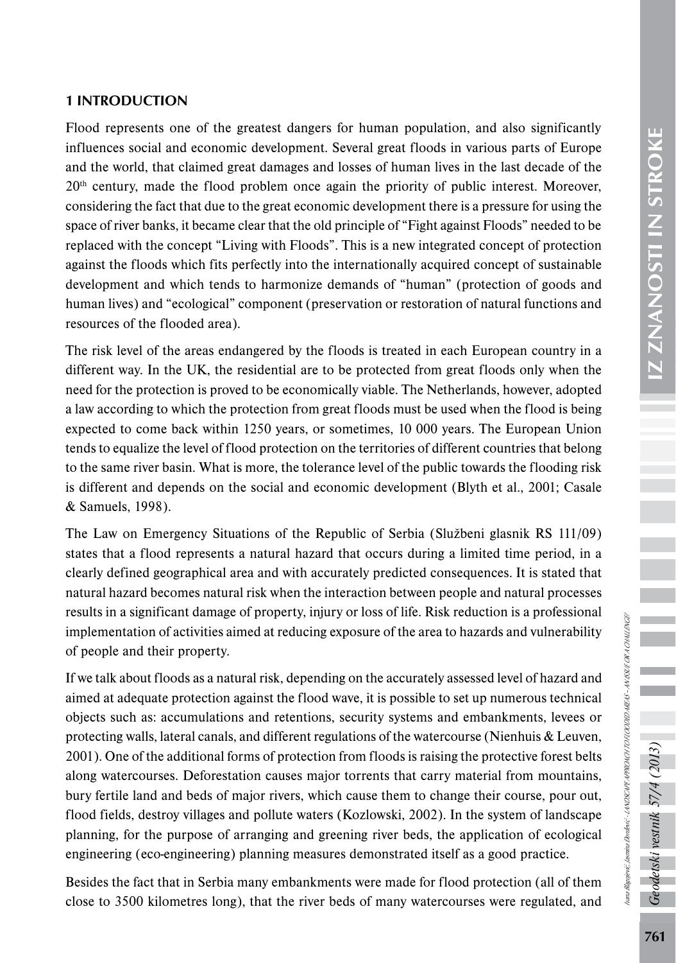Flood represents one of the greatest dangers for human population, and also significantly influences social and economic development. Several great floods in various parts of Europe and the world, that claimed great damages and losses of human lives in the last decade of the  $20<sup>th</sup>$  century, made the flood problem once again the priority of public interest. Moreover, considering the fact that due to the great economic development there is a pressure for using the space of river banks, it became clear that the old principle of "Fight against Floods" needed to be replaced with the concept "Living with Floods". This is a new integrated concept of protection against the floods which fits perfectly into the internationally acquired concept of sustainable development and which tends to harmonize demands of "human" (protection of goods and human lives) and "ecological" component (preservation or restoration of natural functions and resources of the flooded area).

The risk level of the areas endangered by the floods is treated in each European country in a different way. In the UK, the residential are to be protected from great floods only when the need for the protection is proved to be economically viable. The Netherlands, however, adopted a law according to which the protection from great floods must be used when the flood is being expected to come back within 1250 years, or sometimes, 10 000 years. The European Union tends to equalize the level of flood protection on the territories of different countries that belong to the same river basin. What is more, the tolerance level of the public towards the flooding risk is different and depends on the social and economic development (Blyth et al., 2001; Casale & Samuels, 1998).

The Law on Emergency Situations of the Republic of Serbia (Službeni glasnik RS 111/09) states that a flood represents a natural hazard that occurs during a limited time period, in a clearly defined geographical area and with accurately predicted consequences. It is stated that natural hazard becomes natural risk when the interaction between people and natural processes results in a significant damage of property, injury or loss of life. Risk reduction is a professional implementation of activities aimed at reducing exposure of the area to hazards and vulnerability of people and their property.

If we talk about floods as a natural risk, depending on the accurately assessed level of hazard and aimed at adequate protection against the flood wave, it is possible to set up numerous technical objects such as: accumulations and retentions, security systems and embankments, levees or protecting walls, lateral canals, and different regulations of the watercourse (Nienhuis & Leuven, 2001). One of the additional forms of protection from floods is raising the protective forest belts along watercourses. Deforestation causes major torrents that carry material from mountains, bury fertile land and beds of major rivers, which cause them to change their course, pour out, flood fields, destroy villages and pollute waters (Kozlowski, 2002). In the system of landscape planning, for the purpose of arranging and greening river beds, the application of ecological engineering (eco-engineering) planning measures demonstrated itself as a good practice.

Besides the fact that in Serbia many embankments were made for flood protection (all of them close to 3500 kilometres long), that the river beds of many watercourses were regulated, and Ivana Blagojević, Jasmina Đorđević - LANDSCAPE APPROACH TO FLOODED AREAS – AN ISSUE OR A CHALLENGE?

iana Bagojević, Jasmina Bordević ~ LANDSCAPEA PROACH TO ROODED AREAS ~ AN SSUE OR A CHALLENGE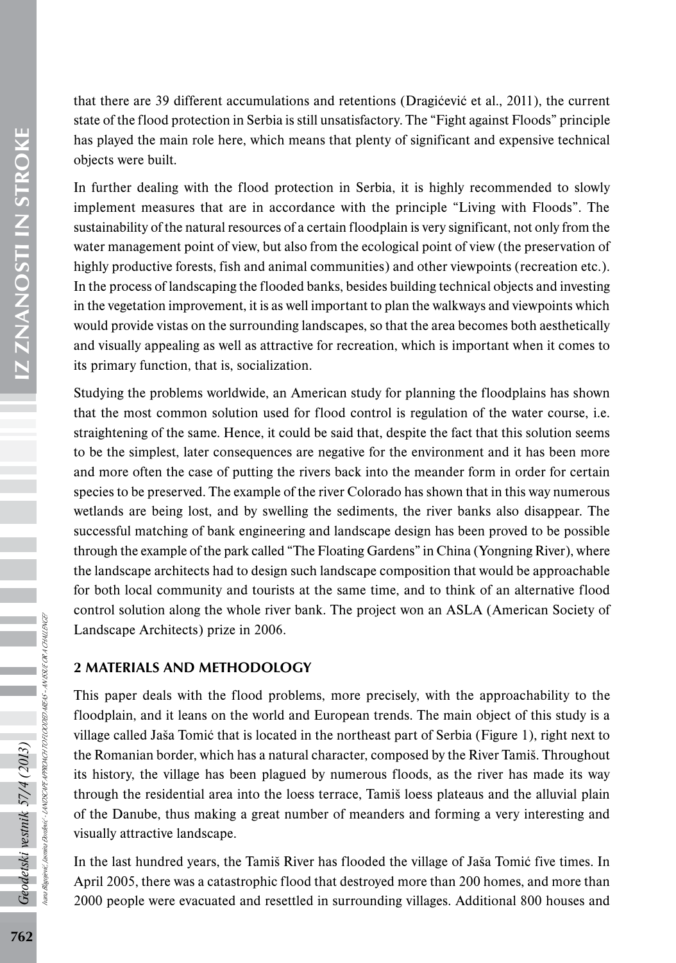that there are 39 different accumulations and retentions (Dragićević et al., 2011), the current state of the flood protection in Serbia is still unsatisfactory. The "Fight against Floods" principle has played the main role here, which means that plenty of significant and expensive technical objects were built. In further dealing with the flood protection in Serbia, it is highly recommended to slowly

implement measures that are in accordance with the principle "Living with Floods". The sustainability of the natural resources of a certain floodplain is very significant, not only from the water management point of view, but also from the ecological point of view (the preservation of highly productive forests, fish and animal communities) and other viewpoints (recreation etc.). In the process of landscaping the flooded banks, besides building technical objects and investing in the vegetation improvement, it is as well important to plan the walkways and viewpoints which would provide vistas on the surrounding landscapes, so that the area becomes both aesthetically and visually appealing as well as attractive for recreation, which is important when it comes to its primary function, that is, socialization.

Studying the problems worldwide, an American study for planning the floodplains has shown that the most common solution used for flood control is regulation of the water course, i.e. straightening of the same. Hence, it could be said that, despite the fact that this solution seems to be the simplest, later consequences are negative for the environment and it has been more and more often the case of putting the rivers back into the meander form in order for certain species to be preserved. The example of the river Colorado has shown that in this way numerous wetlands are being lost, and by swelling the sediments, the river banks also disappear. The successful matching of bank engineering and landscape design has been proved to be possible through the example of the park called "The Floating Gardens" in China (Yongning River), where the landscape architects had to design such landscape composition that would be approachable for both local community and tourists at the same time, and to think of an alternative flood control solution along the whole river bank. The project won an ASLA (American Society of Landscape Architects) prize in 2006.

#### 2 MATERIALS AND METHODOLOGY

This paper deals with the flood problems, more precisely, with the approachability to the floodplain, and it leans on the world and European trends. The main object of this study is a village called Jaša Tomić that is located in the northeast part of Serbia (Figure 1), right next to the Romanian border, which has a natural character, composed by the River Tamiš. Throughout its history, the village has been plagued by numerous floods, as the river has made its way through the residential area into the loess terrace, Tamiš loess plateaus and the alluvial plain of the Danube, thus making a great number of meanders and forming a very interesting and visually attractive landscape.

In the last hundred years, the Tamiš River has flooded the village of Jaša Tomić five times. In April 2005, there was a catastrophic flood that destroyed more than 200 homes, and more than 2000 people were evacuated and resettled in surrounding villages. Additional 800 houses and

Ivana Blagojević, Jasmina Đorđević - LANDSCAPE APPROACH TO FLOODED AREAS – AN ISSUE OR A CHALLENGE?

NDSCAPEAPPROACH TO FLOODED AREAS – AN ISSUE OR A CHALLENG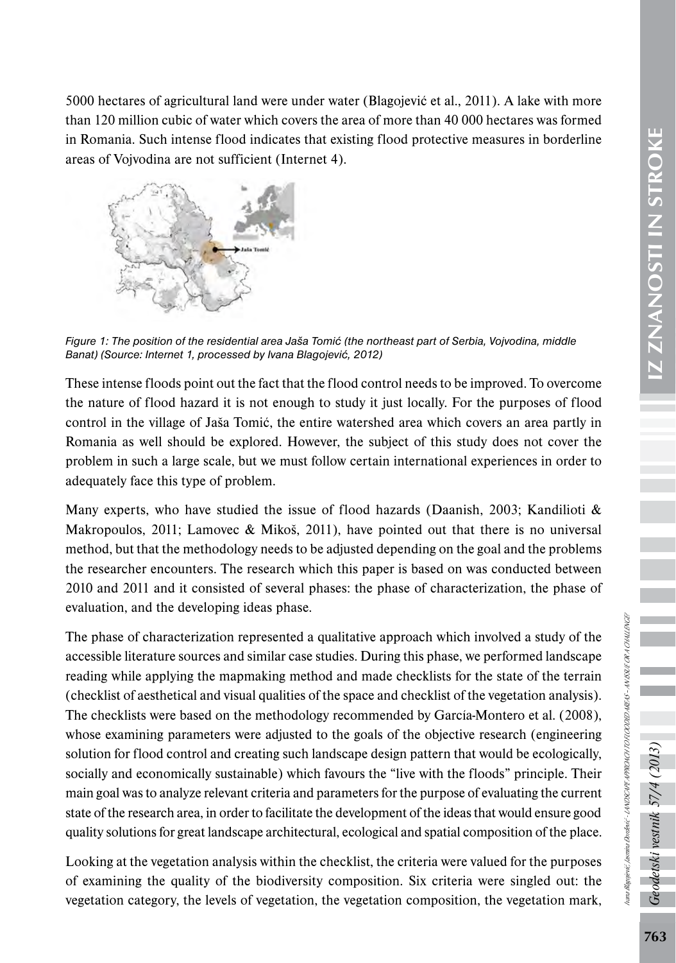5000 hectares of agricultural land were under water (Blagojević et al., 2011). A lake with more than 120 million cubic of water which covers the area of more than 40 000 hectares was formed in Romania. Such intense flood indicates that existing flood protective measures in borderline areas of Vojvodina are not sufficient (Internet 4).



*Figure 1: The position of the residential area Jaša Tomić (the northeast part of Serbia, Vojvodina, middle Banat) (Source: Internet 1, processed by Ivana Blagojević, 2012)*

These intense floods point out the fact that the flood control needs to be improved. To overcome the nature of flood hazard it is not enough to study it just locally. For the purposes of flood control in the village of Jaša Tomić, the entire watershed area which covers an area partly in Romania as well should be explored. However, the subject of this study does not cover the problem in such a large scale, but we must follow certain international experiences in order to adequately face this type of problem.

Many experts, who have studied the issue of flood hazards (Daanish, 2003; Kandilioti  $\&$ Makropoulos, 2011; Lamovec & Mikoš, 2011), have pointed out that there is no universal method, but that the methodology needs to be adjusted depending on the goal and the problems the researcher encounters. The research which this paper is based on was conducted between 2010 and 2011 and it consisted of several phases: the phase of characterization, the phase of evaluation, and the developing ideas phase.

The phase of characterization represented a qualitative approach which involved a study of the accessible literature sources and similar case studies. During this phase, we performed landscape reading while applying the mapmaking method and made checklists for the state of the terrain (checklist of aesthetical and visual qualities of the space and checklist of the vegetation analysis). The checklists were based on the methodology recommended by García-Montero et al. (2008), whose examining parameters were adjusted to the goals of the objective research (engineering solution for flood control and creating such landscape design pattern that would be ecologically, socially and economically sustainable) which favours the "live with the floods" principle. Their main goal was to analyze relevant criteria and parameters for the purpose of evaluating the current state of the research area, in order to facilitate the development of the ideas that would ensure good quality solutions for great landscape architectural, ecological and spatial composition of the place.

Looking at the vegetation analysis within the checklist, the criteria were valued for the purposes of examining the quality of the biodiversity composition. Six criteria were singled out: the vegetation category, the levels of vegetation, the vegetation composition, the vegetation mark,

جح

odetski vestnik 57/4 (2013

Ivana Blagojević, Jasmina Đorđević - LANDSCAPE APPROACH TO FLOODED AREAS – AN ISSUE OR A CHALLENGE?

vana Blagoiević, Jasmina Đorđenić - JANDSCAPEA PRROACH TO FLOODED AREAS - AN ISSUE OR A CHALLENGE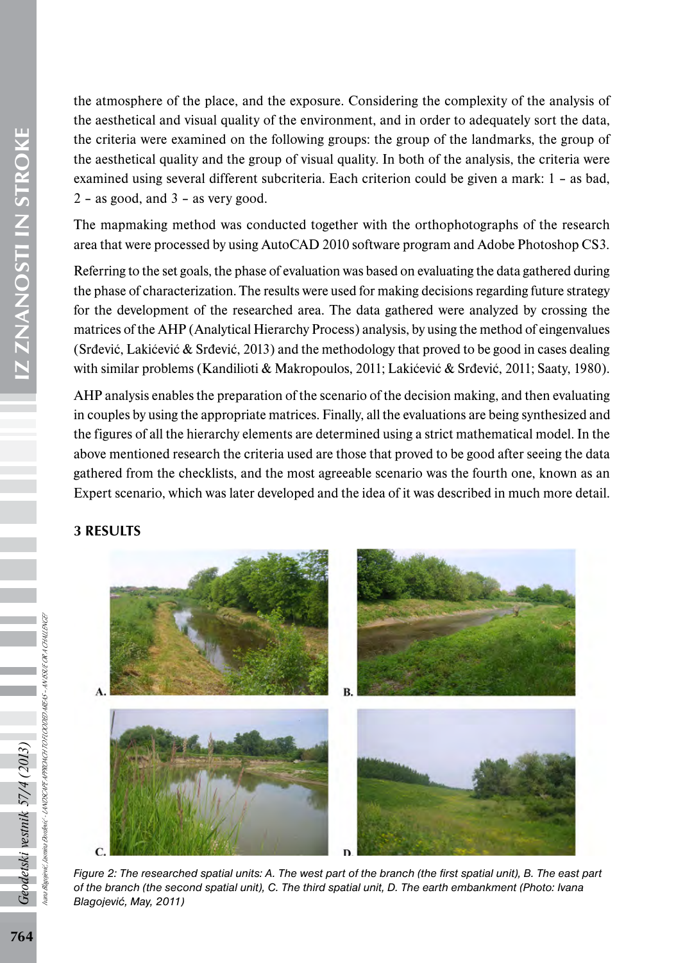IZ ZNANOSTI IN STROKE 764*Geodetski vestnik 57/4 (2013)* IZ ZNANOSTI IN STROKE the atmosphere of the place, and the exposure. Considering the complexity of the analysis of the aesthetical and visual quality of the environment, and in order to adequately sort the data, the criteria were examined on the following groups: the group of the landmarks, the group of the aesthetical quality and the group of visual quality. In both of the analysis, the criteria were examined using several different subcriteria. Each criterion could be given a mark: 1 – as bad,  $2 -$  as good, and  $3 -$  as very good.

The mapmaking method was conducted together with the orthophotographs of the research area that were processed by using AutoCAD 2010 software program and Adobe Photoshop CS3.

Referring to the set goals, the phase of evaluation was based on evaluating the data gathered during the phase of characterization. The results were used for making decisions regarding future strategy for the development of the researched area. The data gathered were analyzed by crossing the matrices of the AHP (Analytical Hierarchy Process) analysis, by using the method of eingenvalues (Srđević, Lakićević & Srđević, 2013) and the methodology that proved to be good in cases dealing with similar problems (Kandilioti & Makropoulos, 2011; Lakićević & Srđević, 2011; Saaty, 1980).

AHP analysis enables the preparation of the scenario of the decision making, and then evaluating in couples by using the appropriate matrices. Finally, all the evaluations are being synthesized and the figures of all the hierarchy elements are determined using a strict mathematical model. In the above mentioned research the criteria used are those that proved to be good after seeing the data gathered from the checklists, and the most agreeable scenario was the fourth one, known as an Expert scenario, which was later developed and the idea of it was described in much more detail.

### 3 RESULTS



*Figure 2: The researched spatial units: A. The west part of the branch (the first spatial unit), B. The east part of the branch (the second spatial unit), C. The third spatial unit, D. The earth embankment (Photo: Ivana Blagojević, May, 2011)*

Geodetski vestnik 57/4 (2013)

Ivana Blagojević, Jasmina Đorđević - LANDSCAPE APPROACH TO FLOODED AREAS – AN ISSUE OR A CHALLENGE?

A PROACH TO FLOODED AREAS – AN ISSUE OR A CHALLENGE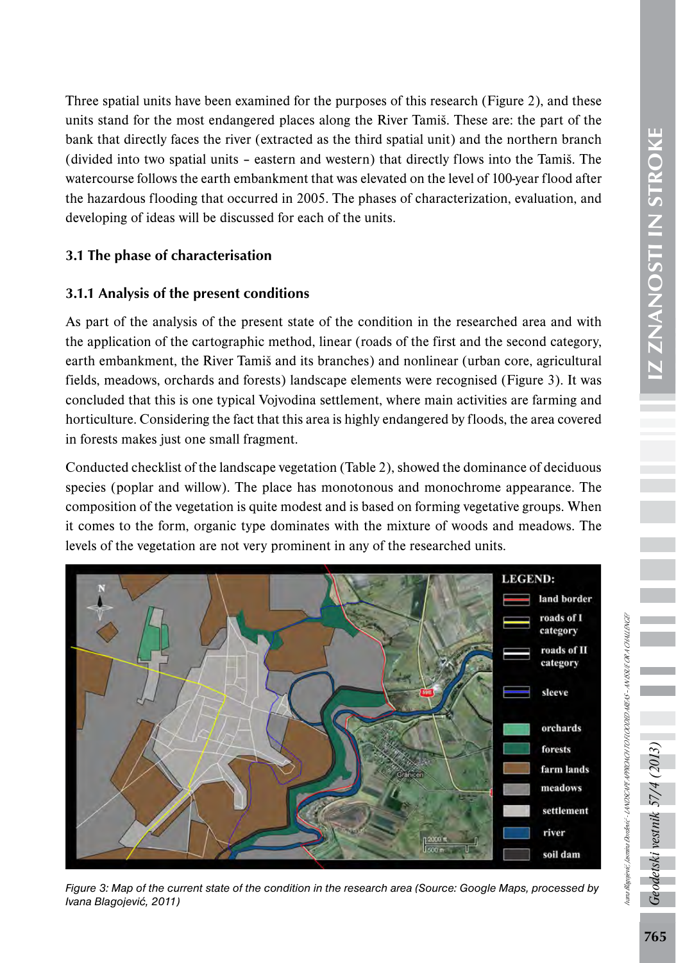Three spatial units have been examined for the purposes of this research (Figure 2), and these units stand for the most endangered places along the River Tamiš. These are: the part of the bank that directly faces the river (extracted as the third spatial unit) and the northern branch (divided into two spatial units – eastern and western) that directly flows into the Tamiš. The watercourse follows the earth embankment that was elevated on the level of 100-year flood after the hazardous flooding that occurred in 2005. The phases of characterization, evaluation, and developing of ideas will be discussed for each of the units.

### 3.1 The phase of characterisation

#### 3.1.1 Analysis of the present conditions

As part of the analysis of the present state of the condition in the researched area and with the application of the cartographic method, linear (roads of the first and the second category, earth embankment, the River Tamiš and its branches) and nonlinear (urban core, agricultural fields, meadows, orchards and forests) landscape elements were recognised (Figure 3). It was concluded that this is one typical Vojvodina settlement, where main activities are farming and horticulture. Considering the fact that this area is highly endangered by floods, the area covered in forests makes just one small fragment.

Conducted checklist of the landscape vegetation (Table 2), showed the dominance of deciduous species (poplar and willow). The place has monotonous and monochrome appearance. The composition of the vegetation is quite modest and is based on forming vegetative groups. When it comes to the form, organic type dominates with the mixture of woods and meadows. The levels of the vegetation are not very prominent in any of the researched units.





odetski vestnik 57/4 (2013)

Ivana Blagojević, Jasmina Đorđević - LANDSCAPE APPROACH TO FLOODED AREAS – AN ISSUE OR A CHALLENGE?

ana Blagojević, Jasmina Dordević ~ LANDSCAPE APPROACH TO ROODED AREAS ~ AN ISSUE OR A CHALLENGE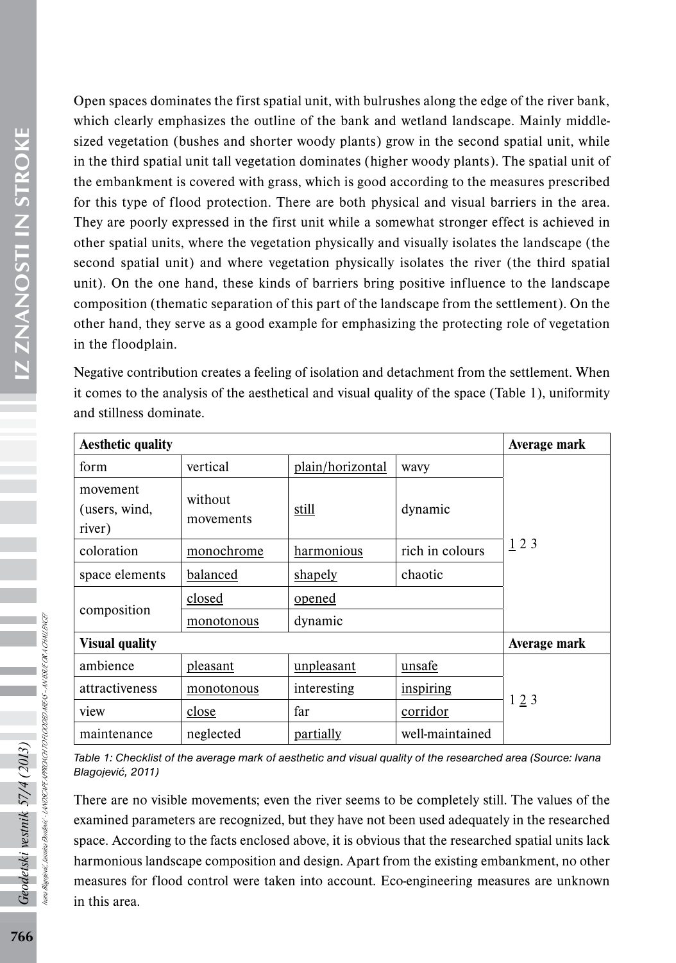Open spaces dominates the first spatial unit, with bulrushes along the edge of the river bank, which clearly emphasizes the outline of the bank and wetland landscape. Mainly middlesized vegetation (bushes and shorter woody plants) grow in the second spatial unit, while in the third spatial unit tall vegetation dominates (higher woody plants). The spatial unit of the embankment is covered with grass, which is good according to the measures prescribed for this type of flood protection. There are both physical and visual barriers in the area. They are poorly expressed in the first unit while a somewhat stronger effect is achieved in other spatial units, where the vegetation physically and visually isolates the landscape (the second spatial unit) and where vegetation physically isolates the river (the third spatial unit). On the one hand, these kinds of barriers bring positive influence to the landscape composition (thematic separation of this part of the landscape from the settlement). On the other hand, they serve as a good example for emphasizing the protecting role of vegetation in the floodplain.

Negative contribution creates a feeling of isolation and detachment from the settlement. When it comes to the analysis of the aesthetical and visual quality of the space (Table 1), uniformity and stillness dominate.

| <b>Aesthetic quality</b>            | Average mark         |                  |                 |     |  |
|-------------------------------------|----------------------|------------------|-----------------|-----|--|
| form                                | vertical             | plain/horizontal | wavv            | 123 |  |
| movement<br>(users, wind,<br>river) | without<br>movements | still            | dynamic         |     |  |
| coloration                          | monochrome           | harmonious       | rich in colours |     |  |
| space elements                      | balanced             | shapely          | chaotic         |     |  |
| composition                         | closed               | opened           |                 |     |  |
|                                     | monotonous           | dynamic          |                 |     |  |
| <b>Visual quality</b>               | Average mark         |                  |                 |     |  |
| ambience                            | pleasant             | unpleasant       | unsafe          | 123 |  |
| attractiveness                      | monotonous           | interesting      | inspiring       |     |  |
| view                                | close                | far<br>corridor  |                 |     |  |
| maintenance                         | neglected            | partially        | well-maintained |     |  |

*Table 1: Checklist of the average mark of aesthetic and visual quality of the researched area (Source: Ivana Blagojević, 2011)*

There are no visible movements; even the river seems to be completely still. The values of the examined parameters are recognized, but they have not been used adequately in the researched space. According to the facts enclosed above, it is obvious that the researched spatial units lack harmonious landscape composition and design. Apart from the existing embankment, no other measures for flood control were taken into account. Eco-engineering measures are unknown in this area.

Ivana Blagojević, Jasmina Đorđević - LANDSCAPE APPROACH TO FLOODED AREAS – AN ISSUE OR A CHALLENGE?

A PROACH TO FLOODED AIEAS – AN ISSUE OR A CHA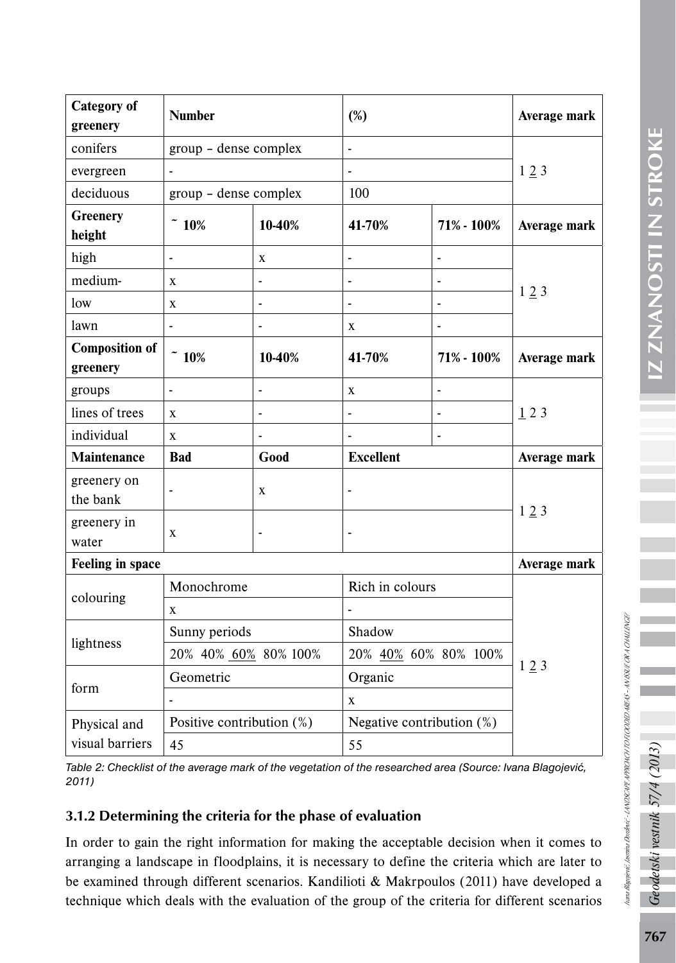| <b>Category</b> of<br>greenery    | <b>Number</b>             |                | $(\%)$                       |                              | Average mark |  |
|-----------------------------------|---------------------------|----------------|------------------------------|------------------------------|--------------|--|
| conifers                          | group - dense complex     |                | $\blacksquare$               |                              |              |  |
| evergreen                         |                           |                | $\overline{a}$               |                              | 123          |  |
| deciduous                         | group - dense complex     |                | 100                          |                              |              |  |
| <b>Greenery</b><br>height         | $~$ 10%                   | 10-40%         | 41-70%                       | 71% - 100%                   | Average mark |  |
| high                              | -                         | X              |                              | $\overline{a}$               |              |  |
| medium-                           | X                         |                | $\qquad \qquad \blacksquare$ | ٠                            |              |  |
| low                               | X                         | -              | -                            | ٠                            | 123          |  |
| lawn                              | $\overline{\phantom{a}}$  | $\overline{a}$ | X                            | $\qquad \qquad \blacksquare$ |              |  |
| <b>Composition of</b><br>greenery | $\tilde{}$ 10%            | 10-40%         | 41-70%                       | 71% - 100%                   | Average mark |  |
| groups                            | $\blacksquare$            |                | X                            | $\qquad \qquad \blacksquare$ | 123          |  |
| lines of trees                    | X                         |                |                              |                              |              |  |
| individual                        | $\mathbf X$               |                |                              |                              |              |  |
| Maintenance                       | <b>Bad</b>                | Good           | <b>Excellent</b>             |                              | Average mark |  |
| greenery on<br>the bank           |                           | $\mathbf{x}$   |                              |                              |              |  |
| greenery in<br>water              | $\mathbf X$               | L,             | $\overline{a}$               |                              | 123          |  |
| Feeling in space<br>Average mark  |                           |                |                              |                              |              |  |
| colouring                         | Monochrome                |                | Rich in colours              |                              | 123          |  |
|                                   | X                         |                |                              |                              |              |  |
| lightness                         | Sunny periods             |                | Shadow                       |                              |              |  |
|                                   | 20% 40% 60% 80% 100%      |                | 20% 40% 60% 80% 100%         |                              |              |  |
| form                              | Geometric                 |                | Organic                      |                              |              |  |
|                                   |                           |                | X                            |                              |              |  |
| Physical and                      | Positive contribution (%) |                | Negative contribution (%)    |                              |              |  |
| visual barriers                   | 45<br>55                  |                |                              |                              |              |  |
|                                   |                           |                |                              |                              |              |  |

*Table 2: Checklist of the average mark of the vegetation of the researched area (Source: Ivana Blagojević, 2011)*

### 3.1.2 Determining the criteria for the phase of evaluation

In order to gain the right information for making the acceptable decision when it comes to arranging a landscape in floodplains, it is necessary to define the criteria which are later to be examined through different scenarios. Kandilioti & Makrpoulos (2011) have developed a technique which deals with the evaluation of the group of the criteria for different scenarios Geodetski vestnik 57/4

Ivana Blagojević, Jasmina Đorđević - LANDSCAPE APPROACH TO FLOODED AREAS – AN ISSUE OR A CHALLENGE?

Nana Bagojenć, Jasmin Dordenč - LANDSCAPEA PROACH TO ROODED AREAS - AN SSUE OR A CHALLENGE?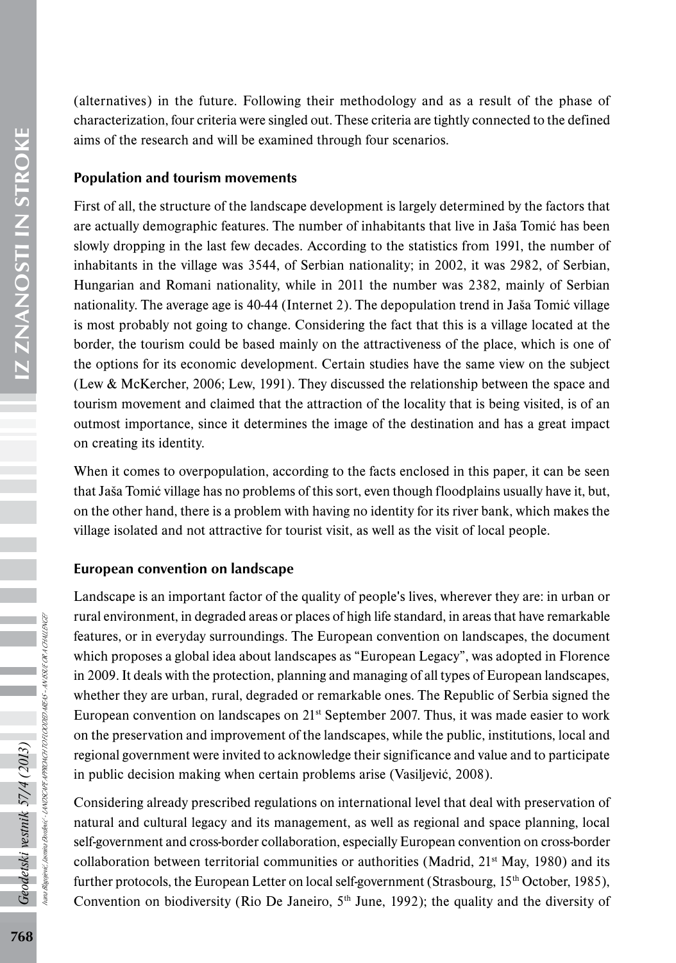(alternatives) in the future. Following their methodology and as a result of the phase of characterization, four criteria were singled out. These criteria are tightly connected to the defined aims of the research and will be examined through four scenarios.

#### Population and tourism movements

First of all, the structure of the landscape development is largely determined by the factors that are actually demographic features. The number of inhabitants that live in Jaša Tomić has been slowly dropping in the last few decades. According to the statistics from 1991, the number of inhabitants in the village was 3544, of Serbian nationality; in 2002, it was 2982, of Serbian, Hungarian and Romani nationality, while in 2011 the number was 2382, mainly of Serbian nationality. The average age is 40-44 (Internet 2). The depopulation trend in Jaša Tomić village is most probably not going to change. Considering the fact that this is a village located at the border, the tourism could be based mainly on the attractiveness of the place, which is one of the options for its economic development. Certain studies have the same view on the subject (Lew & McKercher, 2006; Lew, 1991). They discussed the relationship between the space and tourism movement and claimed that the attraction of the locality that is being visited, is of an outmost importance, since it determines the image of the destination and has a great impact on creating its identity.

When it comes to overpopulation, according to the facts enclosed in this paper, it can be seen that Jaša Tomić village has no problems of this sort, even though floodplains usually have it, but, on the other hand, there is a problem with having no identity for its river bank, which makes the village isolated and not attractive for tourist visit, as well as the visit of local people.

### European convention on landscape

Landscape is an important factor of the quality of people's lives, wherever they are: in urban or rural environment, in degraded areas or places of high life standard, in areas that have remarkable features, or in everyday surroundings. The European convention on landscapes, the document which proposes a global idea about landscapes as "European Legacy", was adopted in Florence in 2009. It deals with the protection, planning and managing of all types of European landscapes, whether they are urban, rural, degraded or remarkable ones. The Republic of Serbia signed the European convention on landscapes on 21st September 2007. Thus, it was made easier to work on the preservation and improvement of the landscapes, while the public, institutions, local and regional government were invited to acknowledge their significance and value and to participate in public decision making when certain problems arise (Vasiljević, 2008).

Considering already prescribed regulations on international level that deal with preservation of natural and cultural legacy and its management, as well as regional and space planning, local self-government and cross-border collaboration, especially European convention on cross-border collaboration between territorial communities or authorities (Madrid,  $21<sup>st</sup>$  May, 1980) and its further protocols, the European Letter on local self-government (Strasbourg,  $15<sup>th</sup>$  October, 1985), Convention on biodiversity (Rio De Janeiro,  $5<sup>th</sup>$  June, 1992); the quality and the diversity of

Ivana Blagojević, Jasmina Đorđević - LANDSCAPE APPROACH TO FLOODED AREAS – AN ISSUE OR A CHALLENGE?

ANDSCAPEA PROCHTO FLOODED AREAS – AN ISSUE OR A CHALLENGE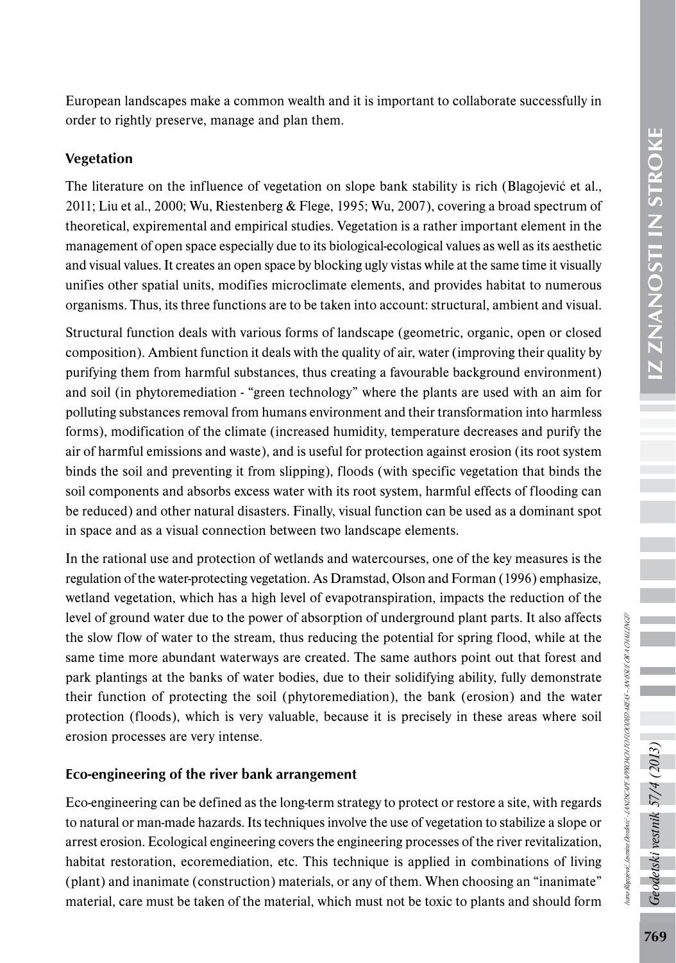European landscapes make a common wealth and it is important to collaborate successfully in order to rightly preserve, manage and plan them.

### Vegetation

The literature on the influence of vegetation on slope bank stability is rich (Blagojević et al., 2011; Liu et al., 2000; Wu, Riestenberg & Flege, 1995; Wu, 2007), covering a broad spectrum of theoretical, expiremental and empirical studies. Vegetation is a rather important element in the management of open space especially due to its biological-ecological values as well as its aesthetic and visual values. It creates an open space by blocking ugly vistas while at the same time it visually unifies other spatial units, modifies microclimate elements, and provides habitat to numerous organisms. Thus, its three functions are to be taken into account: structural, ambient and visual.

Structural function deals with various forms of landscape (geometric, organic, open or closed composition). Ambient function it deals with the quality of air, water (improving their quality by purifying them from harmful substances, thus creating a favourable background environment) and soil (in phytoremediation - "green technology" where the plants are used with an aim for polluting substances removal from humans environment and their transformation into harmless forms), modification of the climate (increased humidity, temperature decreases and purify the air of harmful emissions and waste), and is useful for protection against erosion (its root system binds the soil and preventing it from slipping), floods (with specific vegetation that binds the soil components and absorbs excess water with its root system, harmful effects of flooding can be reduced) and other natural disasters. Finally, visual function can be used as a dominant spot in space and as a visual connection between two landscape elements.

In the rational use and protection of wetlands and watercourses, one of the key measures is the regulation of the water-protecting vegetation. As Dramstad, Olson and Forman (1996) emphasize, wetland vegetation, which has a high level of evapotranspiration, impacts the reduction of the level of ground water due to the power of absorption of underground plant parts. It also affects the slow flow of water to the stream, thus reducing the potential for spring flood, while at the same time more abundant waterways are created. The same authors point out that forest and park plantings at the banks of water bodies, due to their solidifying ability, fully demonstrate their function of protecting the soil (phytoremediation), the bank (erosion) and the water protection (floods), which is very valuable, because it is precisely in these areas where soil erosion processes are very intense.

#### Eco-engineering of the river bank arrangement

Eco-engineering can be defined as the long-term strategy to protect or restore a site, with regards to natural or man-made hazards. Its techniques involve the use of vegetation to stabilize a slope or arrest erosion. Ecological engineering covers the engineering processes of the river revitalization, habitat restoration, ecoremediation, etc. This technique is applied in combinations of living (plant) and inanimate (construction) materials, or any of them. When choosing an "inanimate" material, care must be taken of the material, which must not be toxic to plants and should form Geodetski vestnik 57/4 (2013)

Ivana Blagojević, Jasmina Đorđević - LANDSCAPE APPROACH TO FLOODED AREAS – AN ISSUE OR A CHALLENGE?

iana Bagojević, Jasmina Bordević ~ LANDSCAPEA PROACH TO ROODED AREAS ~ AN SSUE OR A CHALLENGE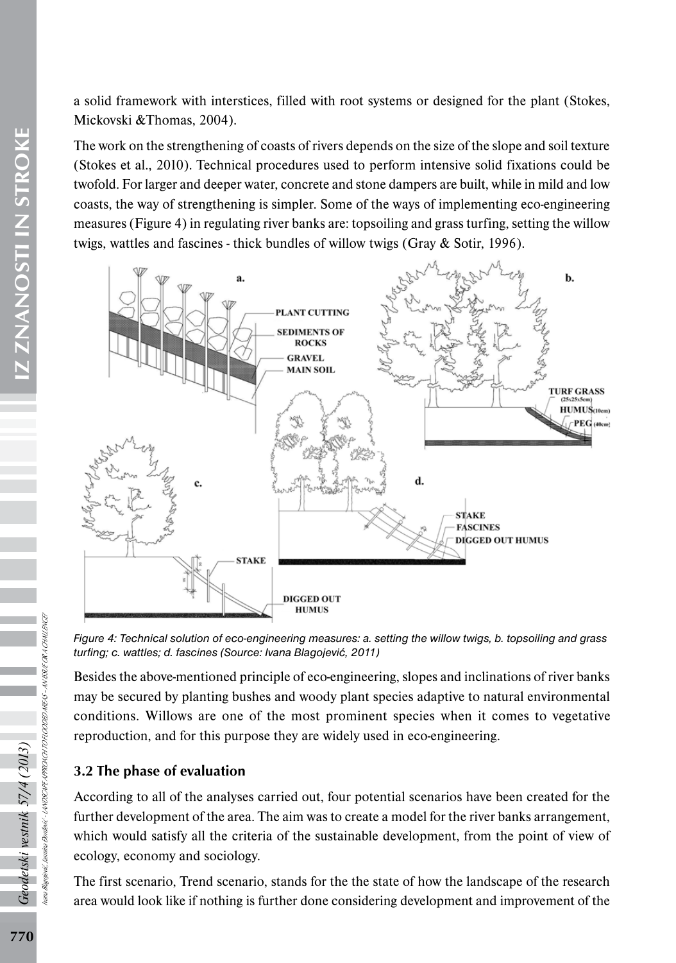a solid framework with interstices, filled with root systems or designed for the plant (Stokes, Mickovski &Thomas, 2004).

The work on the strengthening of coasts of rivers depends on the size of the slope and soil texture (Stokes et al., 2010). Technical procedures used to perform intensive solid fixations could be twofold. For larger and deeper water, concrete and stone dampers are built, while in mild and low coasts, the way of strengthening is simpler. Some of the ways of implementing eco-engineering measures (Figure 4) in regulating river banks are: topsoiling and grass turfing, setting the willow twigs, wattles and fascines - thick bundles of willow twigs (Gray & Sotir, 1996).



*Figure 4: Technical solution of eco-engineering measures: a. setting the willow twigs, b. topsoiling and grass turfing; c. wattles; d. fascines (Source: Ivana Blagojević, 2011)*

Besides the above-mentioned principle of eco-engineering, slopes and inclinations of river banks may be secured by planting bushes and woody plant species adaptive to natural environmental conditions. Willows are one of the most prominent species when it comes to vegetative reproduction, and for this purpose they are widely used in eco-engineering.

### 3.2 The phase of evaluation

According to all of the analyses carried out, four potential scenarios have been created for the further development of the area. The aim was to create a model for the river banks arrangement, which would satisfy all the criteria of the sustainable development, from the point of view of ecology, economy and sociology.

The first scenario, Trend scenario, stands for the the state of how the landscape of the research area would look like if nothing is further done considering development and improvement of the

Ivana Blagojević, Jasmina Đorđević - LANDSCAPE APPROACH TO FLOODED AREAS – AN ISSUE OR A CHALLENGE?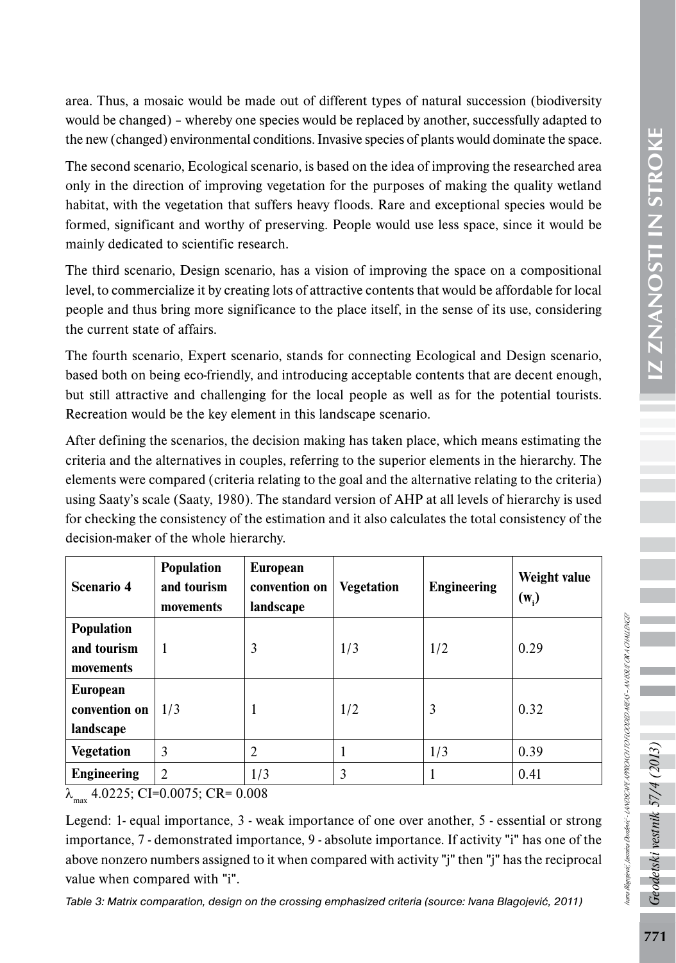area. Thus, a mosaic would be made out of different types of natural succession (biodiversity would be changed) – whereby one species would be replaced by another, successfully adapted to the new (changed) environmental conditions. Invasive species of plants would dominate the space.

The second scenario, Ecological scenario, is based on the idea of improving the researched area only in the direction of improving vegetation for the purposes of making the quality wetland habitat, with the vegetation that suffers heavy floods. Rare and exceptional species would be formed, significant and worthy of preserving. People would use less space, since it would be mainly dedicated to scientific research.

The third scenario, Design scenario, has a vision of improving the space on a compositional level, to commercialize it by creating lots of attractive contents that would be affordable for local people and thus bring more significance to the place itself, in the sense of its use, considering the current state of affairs.

The fourth scenario, Expert scenario, stands for connecting Ecological and Design scenario, based both on being eco-friendly, and introducing acceptable contents that are decent enough, but still attractive and challenging for the local people as well as for the potential tourists. Recreation would be the key element in this landscape scenario.

After defining the scenarios, the decision making has taken place, which means estimating the criteria and the alternatives in couples, referring to the superior elements in the hierarchy. The elements were compared (criteria relating to the goal and the alternative relating to the criteria) using Saaty's scale (Saaty, 1980). The standard version of AHP at all levels of hierarchy is used for checking the consistency of the estimation and it also calculates the total consistency of the decision-maker of the whole hierarchy.

| Scenario 4                             | <b>Population</b><br>and tourism<br>movements | <b>European</b><br>convention on<br>landscape | <b>Vegetation</b> | <b>Engineering</b> | Weight value<br>$(w_i)$ |
|----------------------------------------|-----------------------------------------------|-----------------------------------------------|-------------------|--------------------|-------------------------|
| Population<br>and tourism<br>movements | 1                                             | 3                                             | 1/3               | 1/2                | 0.29                    |
| European<br>convention on<br>landscape | 1/3                                           | 1                                             | 1/2               | 3                  | 0.32                    |
| <b>Vegetation</b>                      | 3                                             | 2                                             |                   | 1/3                | 0.39                    |
| <b>Engineering</b>                     | $\mathfrak{D}$                                | 1/3                                           | 3                 |                    | 0.41                    |

 $\lambda_{\text{max}}$  4.0225; CI=0.0075; CR= 0.008

Legend: 1- equal importance, 3 - weak importance of one over another, 5 - essential or strong importance, 7 - demonstrated importance, 9 - absolute importance. If activity "i" has one of the above nonzero numbers assigned to it when compared with activity "j" then "j" has the reciprocal value when compared with "i".

*Table 3: Matrix comparation, design on the crossing emphasized criteria (source: Ivana Blagojević, 2011)*

Ivana Blagojević, Jasmina Đorđević - LANDSCAPE APPROACH TO FLOODED AREAS – AN ISSUE OR A CHALLENGE?

iana Blagojević, Jasmina Bondewić - LANDSCAPEA PRODACH TO FLOODED ABEAS - AN ISSUE OR A CHALLENGE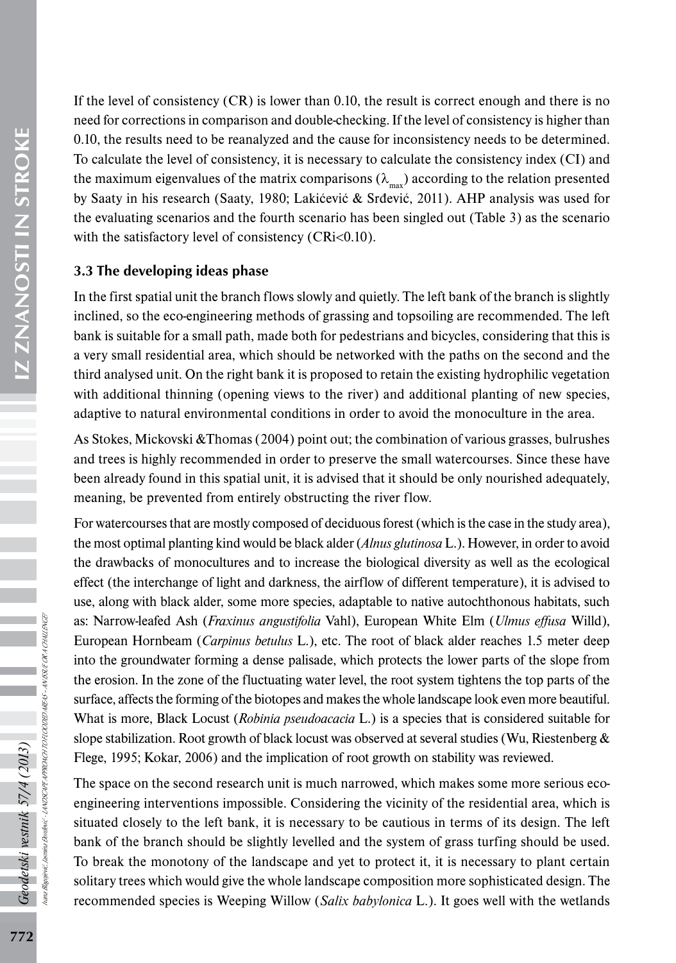IZ ZNANOSTI IN STROKE 772*Geodetski vestnik 57/4 (2013)* IZ ZNANOSTI IN STROKE

If the level of consistency (CR) is lower than 0.10, the result is correct enough and there is no need for corrections in comparison and double-checking. If the level of consistency is higher than 0.10, the results need to be reanalyzed and the cause for inconsistency needs to be determined. To calculate the level of consistency, it is necessary to calculate the consistency index (CI) and the maximum eigenvalues of the matrix comparisons ( $\lambda_{\text{max}}$ ) according to the relation presented by Saaty in his research (Saaty, 1980; Lakićević & Srđević, 2011). AHP analysis was used for the evaluating scenarios and the fourth scenario has been singled out (Table 3) as the scenario with the satisfactory level of consistency  $(CRi<0.10)$ .

## 3.3 The developing ideas phase

In the first spatial unit the branch flows slowly and quietly. The left bank of the branch is slightly inclined, so the eco-engineering methods of grassing and topsoiling are recommended. The left bank is suitable for a small path, made both for pedestrians and bicycles, considering that this is a very small residential area, which should be networked with the paths on the second and the third analysed unit. On the right bank it is proposed to retain the existing hydrophilic vegetation with additional thinning (opening views to the river) and additional planting of new species, adaptive to natural environmental conditions in order to avoid the monoculture in the area.

As Stokes, Mickovski &Thomas (2004) point out; the combination of various grasses, bulrushes and trees is highly recommended in order to preserve the small watercourses. Since these have been already found in this spatial unit, it is advised that it should be only nourished adequately, meaning, be prevented from entirely obstructing the river flow.

For watercourses that are mostly composed of deciduous forest (which is the case in the study area), the most optimal planting kind would be black alder (*Alnus glutinosa* L.). However, in order to avoid the drawbacks of monocultures and to increase the biological diversity as well as the ecological effect (the interchange of light and darkness, the airflow of different temperature), it is advised to use, along with black alder, some more species, adaptable to native autochthonous habitats, such as: Narrow-leafed Ash (*Fraxinus angustifolia* Vahl), European White Elm (*Ulmus effusa* Willd), European Hornbeam (*Carpinus betulus* L.), etc. The root of black alder reaches 1.5 meter deep into the groundwater forming a dense palisade, which protects the lower parts of the slope from the erosion. In the zone of the fluctuating water level, the root system tightens the top parts of the surface, affects the forming of the biotopes and makes the whole landscape look even more beautiful. What is more, Black Locust (*Robinia pseudoacacia* L.) is a species that is considered suitable for slope stabilization. Root growth of black locust was observed at several studies (Wu, Riestenberg  $\&$ Flege, 1995; Kokar, 2006) and the implication of root growth on stability was reviewed.

The space on the second research unit is much narrowed, which makes some more serious ecoengineering interventions impossible. Considering the vicinity of the residential area, which is situated closely to the left bank, it is necessary to be cautious in terms of its design. The left bank of the branch should be slightly levelled and the system of grass turfing should be used. To break the monotony of the landscape and yet to protect it, it is necessary to plant certain solitary trees which would give the whole landscape composition more sophisticated design. The recommended species is Weeping Willow (*Salix babylonica* L.). It goes well with the wetlands

Ivana Blagojević, Jasmina Đorđević - LANDSCAPE APPROACH TO FLOODED AREAS – AN ISSUE OR A CHALLENGE?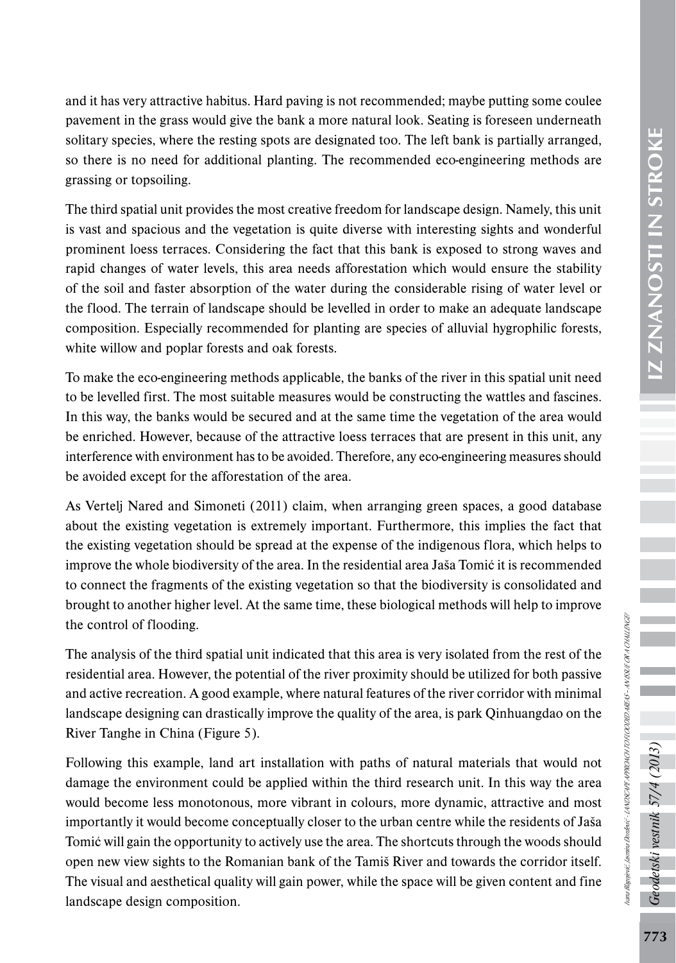Ivana Blagojević, Jasmina Đorđević - LANDSCAPE APPROACH TO FLOODED AREAS – AN ISSUE OR A CHALLENGE?

hana Bagnjević, Jasmina Dordević - JANDSCAPEA PPROACH TO FLOODED AREAS - AN ISSUE OR A CHALLENGE

and it has very attractive habitus. Hard paving is not recommended; maybe putting some coulee pavement in the grass would give the bank a more natural look. Seating is foreseen underneath solitary species, where the resting spots are designated too. The left bank is partially arranged, so there is no need for additional planting. The recommended eco-engineering methods are grassing or topsoiling.

The third spatial unit provides the most creative freedom for landscape design. Namely, this unit is vast and spacious and the vegetation is quite diverse with interesting sights and wonderful prominent loess terraces. Considering the fact that this bank is exposed to strong waves and rapid changes of water levels, this area needs afforestation which would ensure the stability of the soil and faster absorption of the water during the considerable rising of water level or the flood. The terrain of landscape should be levelled in order to make an adequate landscape composition. Especially recommended for planting are species of alluvial hygrophilic forests, white willow and poplar forests and oak forests.

To make the eco-engineering methods applicable, the banks of the river in this spatial unit need to be levelled first. The most suitable measures would be constructing the wattles and fascines. In this way, the banks would be secured and at the same time the vegetation of the area would be enriched. However, because of the attractive loess terraces that are present in this unit, any interference with environment has to be avoided. Therefore, any eco-engineering measures should be avoided except for the afforestation of the area.

As Vertelj Nared and Simoneti (2011) claim, when arranging green spaces, a good database about the existing vegetation is extremely important. Furthermore, this implies the fact that the existing vegetation should be spread at the expense of the indigenous flora, which helps to improve the whole biodiversity of the area. In the residential area Jaša Tomić it is recommended to connect the fragments of the existing vegetation so that the biodiversity is consolidated and brought to another higher level. At the same time, these biological methods will help to improve the control of flooding.

The analysis of the third spatial unit indicated that this area is very isolated from the rest of the residential area. However, the potential of the river proximity should be utilized for both passive and active recreation. A good example, where natural features of the river corridor with minimal landscape designing can drastically improve the quality of the area, is park Qinhuangdao on the River Tanghe in China (Figure 5).

Following this example, land art installation with paths of natural materials that would not damage the environment could be applied within the third research unit. In this way the area would become less monotonous, more vibrant in colours, more dynamic, attractive and most importantly it would become conceptually closer to the urban centre while the residents of Jaša Tomić will gain the opportunity to actively use the area. The shortcuts through the woods should open new view sights to the Romanian bank of the Tamiš River and towards the corridor itself. The visual and aesthetical quality will gain power, while the space will be given content and fine landscape design composition.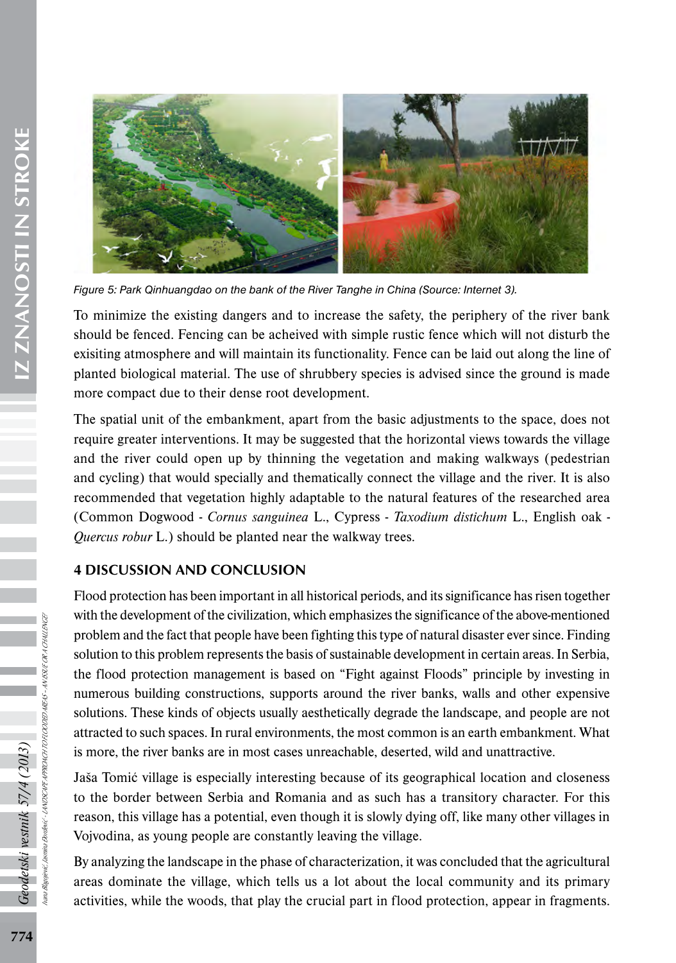

*Figure 5: Park Qinhuangdao on the bank of the River Tanghe in China (Source: Internet 3).*

To minimize the existing dangers and to increase the safety, the periphery of the river bank should be fenced. Fencing can be acheived with simple rustic fence which will not disturb the exisiting atmosphere and will maintain its functionality. Fence can be laid out along the line of planted biological material. The use of shrubbery species is advised since the ground is made more compact due to their dense root development.

The spatial unit of the embankment, apart from the basic adjustments to the space, does not require greater interventions. It may be suggested that the horizontal views towards the village and the river could open up by thinning the vegetation and making walkways (pedestrian and cycling) that would specially and thematically connect the village and the river. It is also recommended that vegetation highly adaptable to the natural features of the researched area (Common Dogwood - *Cornus sanguinea* L., Cypress - *Taxodium distichum* L., English oak - *Quercus robur* L.) should be planted near the walkway trees.

#### 4 DISCUSSION AND CONCLUSION

Flood protection has been important in all historical periods, and its significance has risen together with the development of the civilization, which emphasizes the significance of the above-mentioned problem and the fact that people have been fighting this type of natural disaster ever since. Finding solution to this problem represents the basis of sustainable development in certain areas. In Serbia, the flood protection management is based on "Fight against Floods" principle by investing in numerous building constructions, supports around the river banks, walls and other expensive solutions. These kinds of objects usually aesthetically degrade the landscape, and people are not attracted to such spaces. In rural environments, the most common is an earth embankment. What is more, the river banks are in most cases unreachable, deserted, wild and unattractive.

Jaša Tomić village is especially interesting because of its geographical location and closeness to the border between Serbia and Romania and as such has a transitory character. For this reason, this village has a potential, even though it is slowly dying off, like many other villages in Vojvodina, as young people are constantly leaving the village.

By analyzing the landscape in the phase of characterization, it was concluded that the agricultural areas dominate the village, which tells us a lot about the local community and its primary activities, while the woods, that play the crucial part in flood protection, appear in fragments.

Geodetski vestnik 57/4 (2013)

Ivana Blagojević, Jasmina Đorđević - LANDSCAPE APPROACH TO FLOODED AREAS – AN ISSUE OR A CHALLENGE?

NDSCAPEAPROACH TO FLOODED AREAS – AN ISSUE OR A CHALLENGE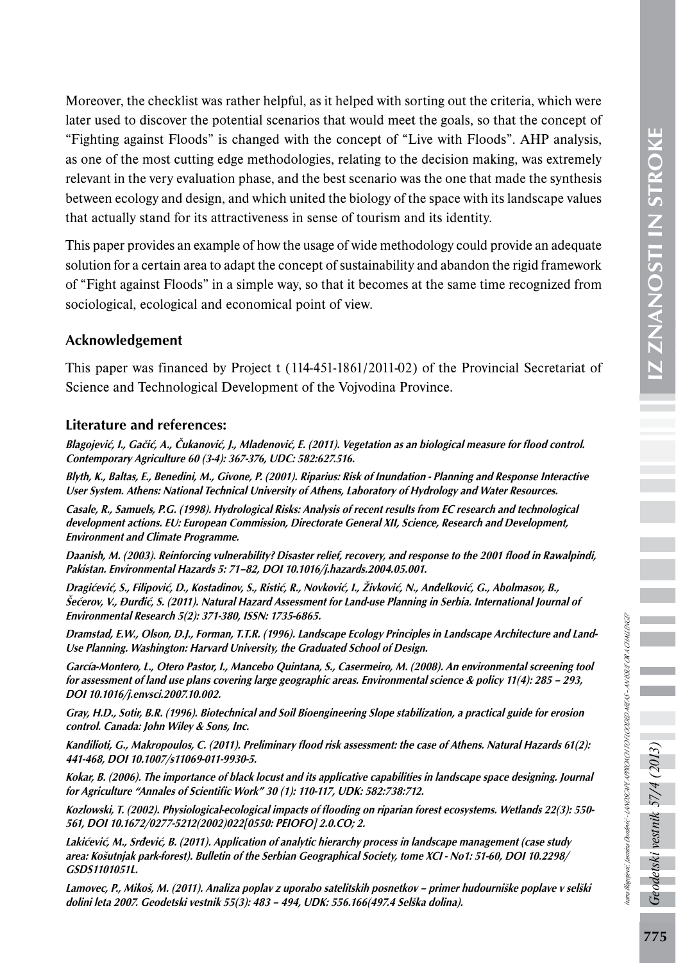Ivana Blagojević, Jasmina Đorđević - LANDSCAPE APPROACH TO FLOODED AREAS – AN ISSUE OR A CHALLENGE?

na Bagyerić, Jasmina Dordewić - LANDSCAPEAPPROACH TO ROODBD AREAS - AN SSUE OR A CHALLENGE

Moreover, the checklist was rather helpful, as it helped with sorting out the criteria, which were later used to discover the potential scenarios that would meet the goals, so that the concept of "Fighting against Floods" is changed with the concept of "Live with Floods". AHP analysis, as one of the most cutting edge methodologies, relating to the decision making, was extremely relevant in the very evaluation phase, and the best scenario was the one that made the synthesis between ecology and design, and which united the biology of the space with its landscape values that actually stand for its attractiveness in sense of tourism and its identity.

This paper provides an example of how the usage of wide methodology could provide an adequate solution for a certain area to adapt the concept of sustainability and abandon the rigid framework of "Fight against Floods" in a simple way, so that it becomes at the same time recognized from sociological, ecological and economical point of view.

#### Acknowledgement

This paper was financed by Project t (114-451-1861/2011-02) of the Provincial Secretariat of Science and Technological Development of the Vojvodina Province.

#### Literature and references:

Blagojević, I., Gačić, A., Čukanović, J., Mladenović, E. (2011). Vegetation as an biological measure for flood control. Contemporary Agriculture 60 (3-4): 367-376, UDC: 582:627.516.

Blyth, K., Baltas, E., Benedini, M., Givone, P. (2001). Riparius: Risk of Inundation - Planning and Response Interactive User System. Athens: National Technical University of Athens, Laboratory of Hydrology and Water Resources.

Casale, R., Samuels, P.G. (1998). Hydrological Risks: Analysis of recent results from EC research and technological development actions. EU: European Commission, Directorate General XII, Science, Research and Development, Environment and Climate Programme.

Daanish, M. (2003). Reinforcing vulnerability? Disaster relief, recovery, and response to the 2001 flood in Rawalpindi, Pakistan. Environmental Hazards 5: 71–82, DOI 10.1016/j.hazards.2004.05.001.

Dragićević, S., Filipović, D., Kostadinov, S., Ristić, R., Novković, I., Živković, N., Anđelković, G., Abolmasov, B., Šećerov, V., Đurđić, S. (2011). Natural Hazard Assessment for Land-use Planning in Serbia. International Journal of Environmental Research 5(2): 371-380, ISSN: 1735-6865.

Dramstad, E.W., Olson, D.J., Forman, T.T.R. (1996). Landscape Ecology Principles in Landscape Architecture and Land-Use Planning. Washington: Harvard University, the Graduated School of Design.

García-Montero, L., Otero Pastor, I., Mancebo Quintana, S., Casermeiro, M. (2008). An environmental screening tool for assessment of land use plans covering large geographic areas. Environmental science & policy 11(4): 285 – 293, DOI 10.1016/j.envsci.2007.10.002.

Gray, H.D., Sotir, B.R. (1996). Biotechnical and Soil Bioengineering Slope stabilization, a practical guide for erosion control. Canada: John Wiley & Sons, Inc.

Kandilioti, G., Makropoulos, C. (2011). Preliminary flood risk assessment: the case of Athens. Natural Hazards 61(2): 441-468, DOI 10.1007/s11069-011-9930-5.

Kokar, B. (2006). The importance of black locust and its applicative capabilities in landscape space designing. Journal for Agriculture "Annales of Scientific Work" 30 (1): 110-117, UDK: 582:738:712.

Kozlowski, T. (2002). Physiological-ecological impacts of flooding on riparian forest ecosystems. Wetlands 22(3): 550- 561, DOI 10.1672/0277-5212(2002)022[0550: PEIOFO] 2.0.CO; 2.

Lakićević, M., Srđević, B. (2011). Application of analytic hierarchy process in landscape management (case study area: Košutnjak park-forest). Bulletin of the Serbian Geographical Society, tome XCI - No1: 51-60, DOI 10.2298/ GSDS1101051L.

Lamovec, P., Mikoš, M. (2011). Analiza poplav z uporabo satelitskih posnetkov – primer hudourniške poplave v selški dolini leta 2007. Geodetski vestnik 55(3): 483 – 494, UDK: 556.166(497.4 Selška dolina).